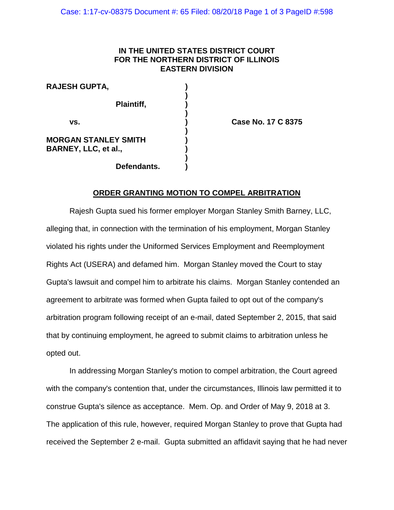## **IN THE UNITED STATES DISTRICT COURT FOR THE NORTHERN DISTRICT OF ILLINOIS EASTERN DIVISION**

**)**

**)**

**)**

**)**

**RAJESH GUPTA, ) Plaintiff, ) vs. ) Case No. 17 C 8375 MORGAN STANLEY SMITH ) BARNEY, LLC, et al., ) Defendants. )**

## **ORDER GRANTING MOTION TO COMPEL ARBITRATION**

Rajesh Gupta sued his former employer Morgan Stanley Smith Barney, LLC, alleging that, in connection with the termination of his employment, Morgan Stanley violated his rights under the Uniformed Services Employment and Reemployment Rights Act (USERA) and defamed him. Morgan Stanley moved the Court to stay Gupta's lawsuit and compel him to arbitrate his claims. Morgan Stanley contended an agreement to arbitrate was formed when Gupta failed to opt out of the company's arbitration program following receipt of an e-mail, dated September 2, 2015, that said that by continuing employment, he agreed to submit claims to arbitration unless he opted out.

In addressing Morgan Stanley's motion to compel arbitration, the Court agreed with the company's contention that, under the circumstances, Illinois law permitted it to construe Gupta's silence as acceptance. Mem. Op. and Order of May 9, 2018 at 3. The application of this rule, however, required Morgan Stanley to prove that Gupta had received the September 2 e-mail. Gupta submitted an affidavit saying that he had never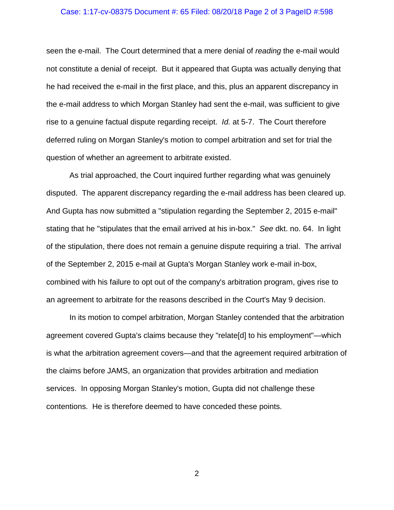## Case: 1:17-cv-08375 Document #: 65 Filed: 08/20/18 Page 2 of 3 PageID #:598

seen the e-mail. The Court determined that a mere denial of *reading* the e-mail would not constitute a denial of receipt. But it appeared that Gupta was actually denying that he had received the e-mail in the first place, and this, plus an apparent discrepancy in the e-mail address to which Morgan Stanley had sent the e-mail, was sufficient to give rise to a genuine factual dispute regarding receipt. *Id.* at 5-7. The Court therefore deferred ruling on Morgan Stanley's motion to compel arbitration and set for trial the question of whether an agreement to arbitrate existed.

As trial approached, the Court inquired further regarding what was genuinely disputed. The apparent discrepancy regarding the e-mail address has been cleared up. And Gupta has now submitted a "stipulation regarding the September 2, 2015 e-mail" stating that he "stipulates that the email arrived at his in-box." *See* dkt. no. 64. In light of the stipulation, there does not remain a genuine dispute requiring a trial. The arrival of the September 2, 2015 e-mail at Gupta's Morgan Stanley work e-mail in-box, combined with his failure to opt out of the company's arbitration program, gives rise to an agreement to arbitrate for the reasons described in the Court's May 9 decision.

In its motion to compel arbitration, Morgan Stanley contended that the arbitration agreement covered Gupta's claims because they "relate[d] to his employment"—which is what the arbitration agreement covers—and that the agreement required arbitration of the claims before JAMS, an organization that provides arbitration and mediation services. In opposing Morgan Stanley's motion, Gupta did not challenge these contentions. He is therefore deemed to have conceded these points.

2